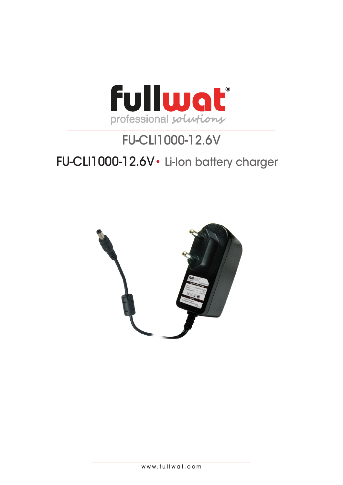

# FU-CLI1000-12.6V FU-CLI1000-12.6V• Li-Ion battery charger

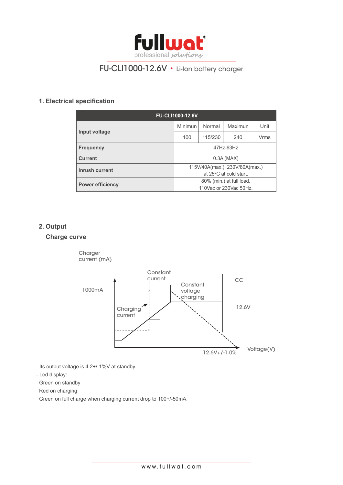

# FU-CLI1000-12.6V • Li-Ion battery charger

# **1. Electrical specification**

| <b>FU-CLI1000-12.6V</b> |                                |         |         |             |
|-------------------------|--------------------------------|---------|---------|-------------|
| Input voltage           | <b>Minimun</b>                 | Normal  | Maximun | Unit        |
|                         | 100                            | 115/230 | 240     | <b>Vrms</b> |
| <b>Frequency</b>        | 47Hz-63Hz                      |         |         |             |
| <b>Current</b>          | $0.3A$ (MAX)                   |         |         |             |
| Inrush current          | 115V/40A(max.), 230V/80A(max.) |         |         |             |
|                         | at 25°C at cold start.         |         |         |             |
| <b>Power efficiency</b> | 80% (min.) at full load,       |         |         |             |
|                         | 110 Vac or 230 Vac 50 Hz.      |         |         |             |

## **2. Output**

# **Charge curve**



- Its output voltage is 4.2+/-1%V at standby.

- Led display:

Green on standby

Red on charging

Green on full charge when charging current drop to 100+/-50mA.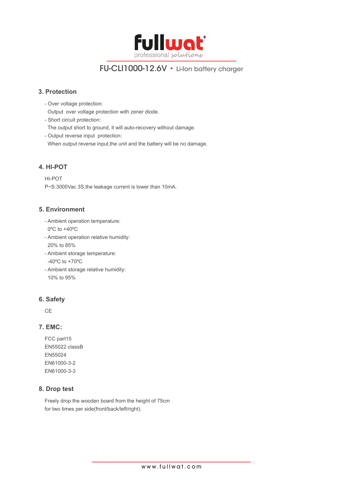

# FU-CLI1000-12.6V • Li-Ion battery charger

## **3. Protection**

- Over voltage protection:

Output over voltage protection with zener diode.

- Short circuit protection:

The output short to ground, it will auto-recovery without damage.

- Output reverse input protection:
- When output reverse input, the unit and the battery will be no damage.

## **4. HI-POT**

HI-POT P~S:3000Vac 3S,the leakage current is lower than 10mA.

#### **5. Environment**

- Ambient operation temperature: 0ºC to +40ºC
- Ambient operation relative humidity: 20% to 85%
- Ambient storage temperature: -40ºC to +70ºC
- Ambient storage relative humidity: 10% to 95%

#### **6. Safety**

CE

#### **7. EMC:**

FCC part15 EN55022 classB EN55024 EN61000-3-2 EN61000-3-3

#### **8. Drop test**

Freely drop the wooden board from the height of 75cm for two times per side(front/back/left/right).